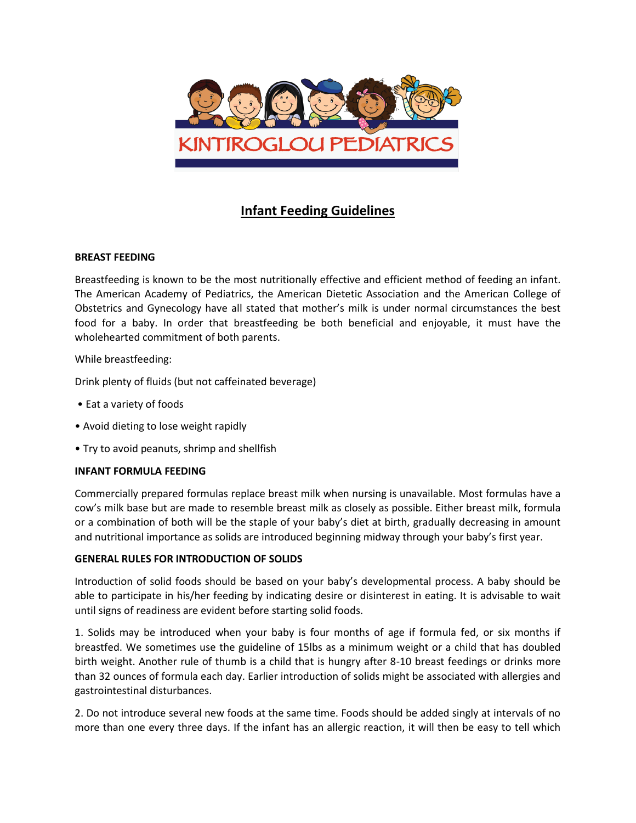

# **Infant Feeding Guidelines**

# **BREAST FEEDING**

Breastfeeding is known to be the most nutritionally effective and efficient method of feeding an infant. The American Academy of Pediatrics, the American Dietetic Association and the American College of Obstetrics and Gynecology have all stated that mother's milk is under normal circumstances the best food for a baby. In order that breastfeeding be both beneficial and enjoyable, it must have the wholehearted commitment of both parents.

While breastfeeding:

Drink plenty of fluids (but not caffeinated beverage)

- Eat a variety of foods
- Avoid dieting to lose weight rapidly
- Try to avoid peanuts, shrimp and shellfish

#### **INFANT FORMULA FEEDING**

Commercially prepared formulas replace breast milk when nursing is unavailable. Most formulas have a cow's milk base but are made to resemble breast milk as closely as possible. Either breast milk, formula or a combination of both will be the staple of your baby's diet at birth, gradually decreasing in amount and nutritional importance as solids are introduced beginning midway through your baby's first year.

#### **GENERAL RULES FOR INTRODUCTION OF SOLIDS**

Introduction of solid foods should be based on your baby's developmental process. A baby should be able to participate in his/her feeding by indicating desire or disinterest in eating. It is advisable to wait until signs of readiness are evident before starting solid foods.

1. Solids may be introduced when your baby is four months of age if formula fed, or six months if breastfed. We sometimes use the guideline of 15lbs as a minimum weight or a child that has doubled birth weight. Another rule of thumb is a child that is hungry after 8-10 breast feedings or drinks more than 32 ounces of formula each day. Earlier introduction of solids might be associated with allergies and gastrointestinal disturbances.

2. Do not introduce several new foods at the same time. Foods should be added singly at intervals of no more than one every three days. If the infant has an allergic reaction, it will then be easy to tell which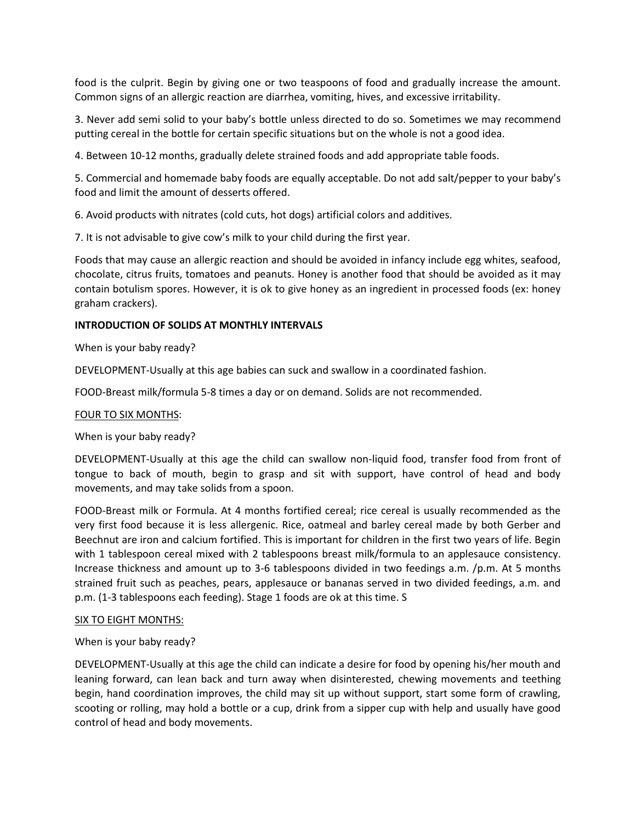food is the culprit. Begin by giving one or two teaspoons of food and gradually increase the amount. Common signs of an allergic reaction are diarrhea, vomiting, hives, and excessive irritability.

3. Never add semi solid to your baby's bottle unless directed to do so. Sometimes we may recommend putting cereal in the bottle for certain specific situations but on the whole is not a good idea.

4. Between 10-12 months, gradually delete strained foods and add appropriate table foods.

5. Commercial and homemade baby foods are equally acceptable. Do not add salt/pepper to your baby's food and limit the amount of desserts offered.

6. Avoid products with nitrates (cold cuts, hot dogs) artificial colors and additives.

7. It is not advisable to give cow's milk to your child during the first year.

Foods that may cause an allergic reaction and should be avoided in infancy include egg whites, seafood, chocolate, citrus fruits, tomatoes and peanuts. Honey is another food that should be avoided as it may contain botulism spores. However, it is ok to give honey as an ingredient in processed foods (ex: honey graham crackers).

# **INTRODUCTION OF SOLIDS AT MONTHLY INTERVALS**

When is your baby ready?

DEVELOPMENT-Usually at this age babies can suck and swallow in a coordinated fashion.

FOOD-Breast milk/formula 5-8 times a day or on demand. Solids are not recommended.

#### FOUR TO SIX MONTHS:

When is your baby ready?

DEVELOPMENT-Usually at this age the child can swallow non-liquid food, transfer food from front of tongue to back of mouth, begin to grasp and sit with support, have control of head and body movements, and may take solids from a spoon.

FOOD-Breast milk or Formula. At 4 months fortified cereal; rice cereal is usually recommended as the very first food because it is less allergenic. Rice, oatmeal and barley cereal made by both Gerber and Beechnut are iron and calcium fortified. This is important for children in the first two years of life. Begin with 1 tablespoon cereal mixed with 2 tablespoons breast milk/formula to an applesauce consistency. Increase thickness and amount up to 3-6 tablespoons divided in two feedings a.m. /p.m. At 5 months strained fruit such as peaches, pears, applesauce or bananas served in two divided feedings, a.m. and p.m. (1-3 tablespoons each feeding). Stage 1 foods are ok at this time. S

#### SIX TO EIGHT MONTHS:

#### When is your baby ready?

DEVELOPMENT-Usually at this age the child can indicate a desire for food by opening his/her mouth and leaning forward, can lean back and turn away when disinterested, chewing movements and teething begin, hand coordination improves, the child may sit up without support, start some form of crawling, scooting or rolling, may hold a bottle or a cup, drink from a sipper cup with help and usually have good control of head and body movements.